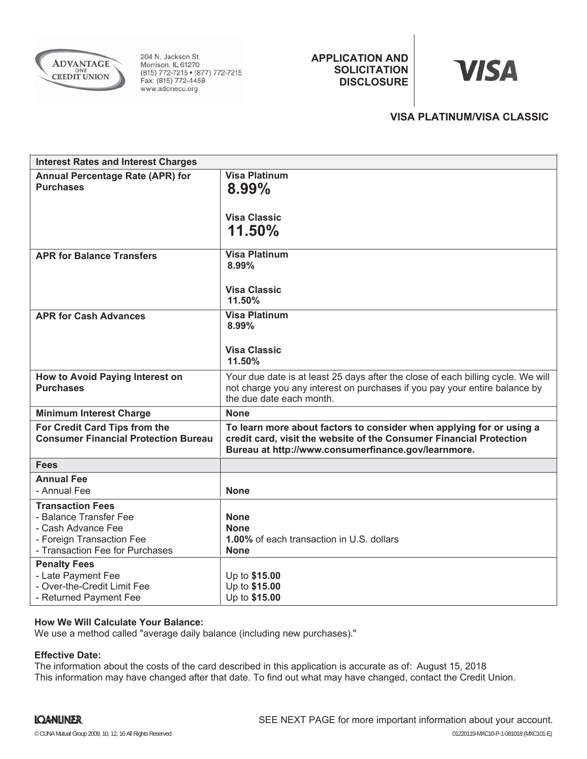

204 N. Jackson St. Morrison, IL 61270 (815) 772-7215 • (877) 772-7215<br>Fax: (815) 772-4458 www.adonecu.org

**APPLICATION AND SOLICITATION DISCLOSURE**

# **VISA**

## **VISA PLATINUM/VISA CLASSIC**

| <b>Interest Rates and Interest Charges</b>                                                                                              |                                                                                                                                                                                                    |
|-----------------------------------------------------------------------------------------------------------------------------------------|----------------------------------------------------------------------------------------------------------------------------------------------------------------------------------------------------|
| <b>Annual Percentage Rate (APR) for</b><br><b>Purchases</b>                                                                             | <b>Visa Platinum</b><br>8.99%<br><b>Visa Classic</b>                                                                                                                                               |
|                                                                                                                                         | 11.50%                                                                                                                                                                                             |
| <b>APR for Balance Transfers</b>                                                                                                        | <b>Visa Platinum</b><br>8.99%                                                                                                                                                                      |
|                                                                                                                                         | <b>Visa Classic</b><br>11.50%                                                                                                                                                                      |
| <b>APR for Cash Advances</b>                                                                                                            | <b>Visa Platinum</b><br>8.99%                                                                                                                                                                      |
|                                                                                                                                         | <b>Visa Classic</b><br>11.50%                                                                                                                                                                      |
| How to Avoid Paying Interest on<br><b>Purchases</b>                                                                                     | Your due date is at least 25 days after the close of each billing cycle. We will<br>not charge you any interest on purchases if you pay your entire balance by<br>the due date each month.         |
| <b>Minimum Interest Charge</b>                                                                                                          | <b>None</b>                                                                                                                                                                                        |
| For Credit Card Tips from the<br><b>Consumer Financial Protection Bureau</b>                                                            | To learn more about factors to consider when applying for or using a<br>credit card, visit the website of the Consumer Financial Protection<br>Bureau at http://www.consumerfinance.gov/learnmore. |
| <b>Fees</b>                                                                                                                             |                                                                                                                                                                                                    |
| <b>Annual Fee</b><br>- Annual Fee                                                                                                       | <b>None</b>                                                                                                                                                                                        |
| <b>Transaction Fees</b><br>- Balance Transfer Fee<br>- Cash Advance Fee<br>- Foreign Transaction Fee<br>- Transaction Fee for Purchases | <b>None</b><br><b>None</b><br>1.00% of each transaction in U.S. dollars<br><b>None</b>                                                                                                             |
| <b>Penalty Fees</b><br>- Late Payment Fee<br>- Over-the-Credit Limit Fee<br>- Returned Payment Fee                                      | Up to \$15.00<br>Up to \$15.00<br>Up to \$15.00                                                                                                                                                    |

### **How We Will Calculate Your Balance:**

We use a method called "average daily balance (including new purchases)."

### **Effective Date:**

The information about the costs of the card described in this application is accurate as of: August 15, 2018This information may have changed after that date. To find out what may have changed, contact the Credit Union.